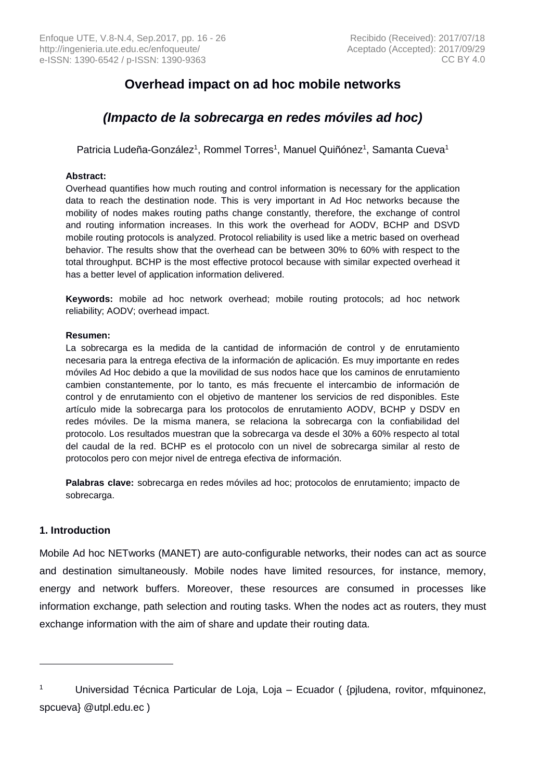# **Overhead impact on ad hoc mobile networks**

# *(Impacto de la sobrecarga en redes móviles ad hoc)*

Patricia Ludeña-González<sup>1</sup>, Rommel Torres<sup>1</sup>, Manuel Quiñónez<sup>1</sup>, Samanta Cueva<sup>1</sup>

## **Abstract:**

Overhead quantifies how much routing and control information is necessary for the application data to reach the destination node. This is very important in Ad Hoc networks because the mobility of nodes makes routing paths change constantly, therefore, the exchange of control and routing information increases. In this work the overhead for AODV, BCHP and DSVD mobile routing protocols is analyzed. Protocol reliability is used like a metric based on overhead behavior. The results show that the overhead can be between 30% to 60% with respect to the total throughput. BCHP is the most effective protocol because with similar expected overhead it has a better level of application information delivered.

**Keywords:** mobile ad hoc network overhead; mobile routing protocols; ad hoc network reliability; AODV; overhead impact.

#### **Resumen:**

La sobrecarga es la medida de la cantidad de información de control y de enrutamiento necesaria para la entrega efectiva de la información de aplicación. Es muy importante en redes móviles Ad Hoc debido a que la movilidad de sus nodos hace que los caminos de enrutamiento cambien constantemente, por lo tanto, es más frecuente el intercambio de información de control y de enrutamiento con el objetivo de mantener los servicios de red disponibles. Este artículo mide la sobrecarga para los protocolos de enrutamiento AODV, BCHP y DSDV en redes móviles. De la misma manera, se relaciona la sobrecarga con la confiabilidad del protocolo. Los resultados muestran que la sobrecarga va desde el 30% a 60% respecto al total del caudal de la red. BCHP es el protocolo con un nivel de sobrecarga similar al resto de protocolos pero con mejor nivel de entrega efectiva de información.

**Palabras clave:** sobrecarga en redes móviles ad hoc; protocolos de enrutamiento; impacto de sobrecarga.

# **1. Introduction**

 $\overline{a}$ 

Mobile Ad hoc NETworks (MANET) are auto-configurable networks, their nodes can act as source and destination simultaneously. Mobile nodes have limited resources, for instance, memory, energy and network buffers. Moreover, these resources are consumed in processes like information exchange, path selection and routing tasks. When the nodes act as routers, they must exchange information with the aim of share and update their routing data.

<sup>1</sup> Universidad Técnica Particular de Loja, Loja – Ecuador ( {pjludena, rovitor, mfquinonez, spcueva} @utpl.edu.ec )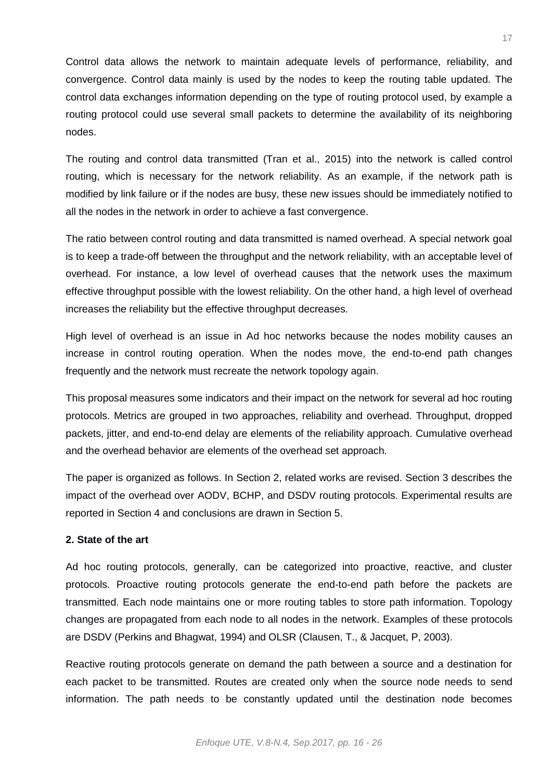Control data allows the network to maintain adequate levels of performance, reliability, and convergence. Control data mainly is used by the nodes to keep the routing table updated. The control data exchanges information depending on the type of routing protocol used, by example a routing protocol could use several small packets to determine the availability of its neighboring nodes.

The routing and control data transmitted (Tran et al., 2015) into the network is called control routing, which is necessary for the network reliability. As an example, if the network path is modified by link failure or if the nodes are busy, these new issues should be immediately notified to all the nodes in the network in order to achieve a fast convergence.

The ratio between control routing and data transmitted is named overhead. A special network goal is to keep a trade-off between the throughput and the network reliability, with an acceptable level of overhead. For instance, a low level of overhead causes that the network uses the maximum effective throughput possible with the lowest reliability. On the other hand, a high level of overhead increases the reliability but the effective throughput decreases.

High level of overhead is an issue in Ad hoc networks because the nodes mobility causes an increase in control routing operation. When the nodes move, the end-to-end path changes frequently and the network must recreate the network topology again.

This proposal measures some indicators and their impact on the network for several ad hoc routing protocols. Metrics are grouped in two approaches, reliability and overhead. Throughput, dropped packets, jitter, and end-to-end delay are elements of the reliability approach. Cumulative overhead and the overhead behavior are elements of the overhead set approach.

The paper is organized as follows. In Section 2, related works are revised. Section 3 describes the impact of the overhead over AODV, BCHP, and DSDV routing protocols. Experimental results are reported in Section 4 and conclusions are drawn in Section 5.

# **2. State of the art**

Ad hoc routing protocols, generally, can be categorized into proactive, reactive, and cluster protocols. Proactive routing protocols generate the end-to-end path before the packets are transmitted. Each node maintains one or more routing tables to store path information. Topology changes are propagated from each node to all nodes in the network. Examples of these protocols are DSDV (Perkins and Bhagwat, 1994) and OLSR (Clausen, T., & Jacquet, P, 2003).

Reactive routing protocols generate on demand the path between a source and a destination for each packet to be transmitted. Routes are created only when the source node needs to send information. The path needs to be constantly updated until the destination node becomes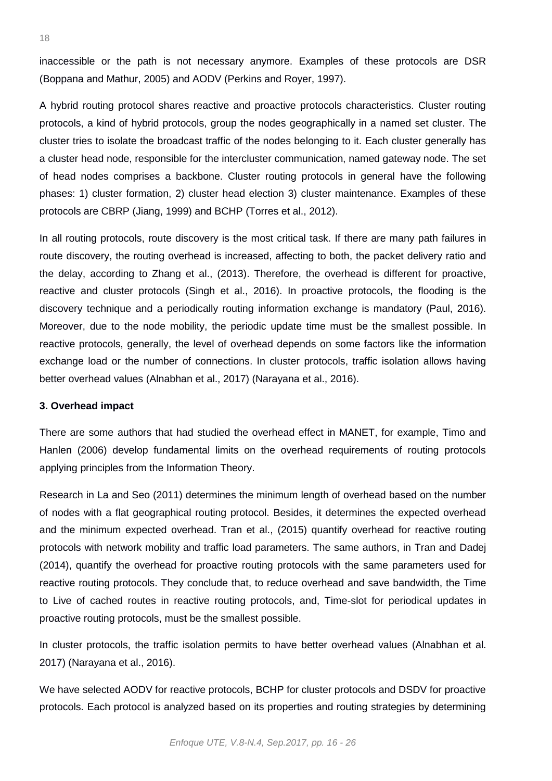inaccessible or the path is not necessary anymore. Examples of these protocols are DSR (Boppana and Mathur, 2005) and AODV (Perkins and Royer, 1997).

A hybrid routing protocol shares reactive and proactive protocols characteristics. Cluster routing protocols, a kind of hybrid protocols, group the nodes geographically in a named set cluster. The cluster tries to isolate the broadcast traffic of the nodes belonging to it. Each cluster generally has a cluster head node, responsible for the intercluster communication, named gateway node. The set of head nodes comprises a backbone. Cluster routing protocols in general have the following phases: 1) cluster formation, 2) cluster head election 3) cluster maintenance. Examples of these protocols are CBRP (Jiang, 1999) and BCHP (Torres et al., 2012).

In all routing protocols, route discovery is the most critical task. If there are many path failures in route discovery, the routing overhead is increased, affecting to both, the packet delivery ratio and the delay, according to Zhang et al., (2013). Therefore, the overhead is different for proactive, reactive and cluster protocols (Singh et al., 2016). In proactive protocols, the flooding is the discovery technique and a periodically routing information exchange is mandatory (Paul, 2016). Moreover, due to the node mobility, the periodic update time must be the smallest possible. In reactive protocols, generally, the level of overhead depends on some factors like the information exchange load or the number of connections. In cluster protocols, traffic isolation allows having better overhead values (Alnabhan et al., 2017) (Narayana et al., 2016).

#### **3. Overhead impact**

There are some authors that had studied the overhead effect in MANET, for example, Timo and Hanlen (2006) develop fundamental limits on the overhead requirements of routing protocols applying principles from the Information Theory.

Research in La and Seo (2011) determines the minimum length of overhead based on the number of nodes with a flat geographical routing protocol. Besides, it determines the expected overhead and the minimum expected overhead. Tran et al., (2015) quantify overhead for reactive routing protocols with network mobility and traffic load parameters. The same authors, in Tran and Dadej (2014), quantify the overhead for proactive routing protocols with the same parameters used for reactive routing protocols. They conclude that, to reduce overhead and save bandwidth, the Time to Live of cached routes in reactive routing protocols, and, Time-slot for periodical updates in proactive routing protocols, must be the smallest possible.

In cluster protocols, the traffic isolation permits to have better overhead values (Alnabhan et al. 2017) (Narayana et al., 2016).

We have selected AODV for reactive protocols, BCHP for cluster protocols and DSDV for proactive protocols. Each protocol is analyzed based on its properties and routing strategies by determining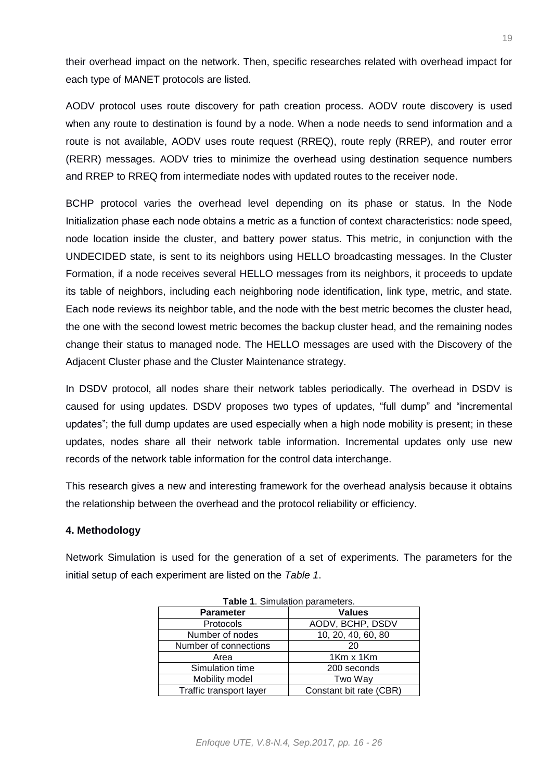their overhead impact on the network. Then, specific researches related with overhead impact for each type of MANET protocols are listed.

AODV protocol uses route discovery for path creation process. AODV route discovery is used when any route to destination is found by a node. When a node needs to send information and a route is not available, AODV uses route request (RREQ), route reply (RREP), and router error (RERR) messages. AODV tries to minimize the overhead using destination sequence numbers and RREP to RREQ from intermediate nodes with updated routes to the receiver node.

BCHP protocol varies the overhead level depending on its phase or status. In the Node Initialization phase each node obtains a metric as a function of context characteristics: node speed, node location inside the cluster, and battery power status. This metric, in conjunction with the UNDECIDED state, is sent to its neighbors using HELLO broadcasting messages. In the Cluster Formation, if a node receives several HELLO messages from its neighbors, it proceeds to update its table of neighbors, including each neighboring node identification, link type, metric, and state. Each node reviews its neighbor table, and the node with the best metric becomes the cluster head, the one with the second lowest metric becomes the backup cluster head, and the remaining nodes change their status to managed node. The HELLO messages are used with the Discovery of the Adjacent Cluster phase and the Cluster Maintenance strategy.

In DSDV protocol, all nodes share their network tables periodically. The overhead in DSDV is caused for using updates. DSDV proposes two types of updates, "full dump" and "incremental updates"; the full dump updates are used especially when a high node mobility is present; in these updates, nodes share all their network table information. Incremental updates only use new records of the network table information for the control data interchange.

This research gives a new and interesting framework for the overhead analysis because it obtains the relationship between the overhead and the protocol reliability or efficiency.

# **4. Methodology**

Network Simulation is used for the generation of a set of experiments. The parameters for the initial setup of each experiment are listed on the *Table 1*.

| <b>Parameter</b>        | <b>Values</b>           |
|-------------------------|-------------------------|
| <b>Protocols</b>        | AODV, BCHP, DSDV        |
| Number of nodes         | 10, 20, 40, 60, 80      |
| Number of connections   | 20                      |
| Area                    | 1Km x 1Km               |
| Simulation time         | 200 seconds             |
| Mobility model          | Two Way                 |
| Traffic transport layer | Constant bit rate (CBR) |

**Table 1**. Simulation parameters.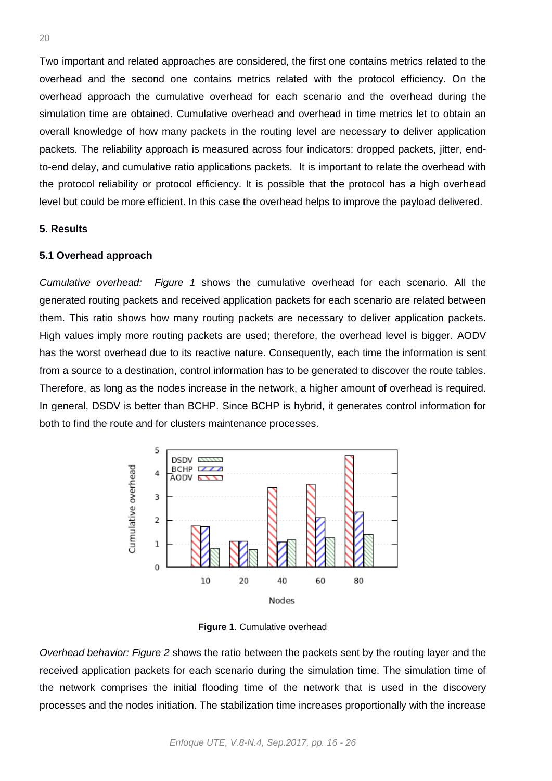Two important and related approaches are considered, the first one contains metrics related to the overhead and the second one contains metrics related with the protocol efficiency. On the overhead approach the cumulative overhead for each scenario and the overhead during the simulation time are obtained. Cumulative overhead and overhead in time metrics let to obtain an overall knowledge of how many packets in the routing level are necessary to deliver application packets. The reliability approach is measured across four indicators: dropped packets, jitter, endto-end delay, and cumulative ratio applications packets. It is important to relate the overhead with the protocol reliability or protocol efficiency. It is possible that the protocol has a high overhead level but could be more efficient. In this case the overhead helps to improve the payload delivered.

### **5. Results**

#### **5.1 Overhead approach**

*Cumulative overhead: Figure 1* shows the cumulative overhead for each scenario. All the generated routing packets and received application packets for each scenario are related between them. This ratio shows how many routing packets are necessary to deliver application packets. High values imply more routing packets are used; therefore, the overhead level is bigger. AODV has the worst overhead due to its reactive nature. Consequently, each time the information is sent from a source to a destination, control information has to be generated to discover the route tables. Therefore, as long as the nodes increase in the network, a higher amount of overhead is required. In general, DSDV is better than BCHP. Since BCHP is hybrid, it generates control information for both to find the route and for clusters maintenance processes.



**Figure 1**. Cumulative overhead

*Overhead behavior: Figure 2* shows the ratio between the packets sent by the routing layer and the received application packets for each scenario during the simulation time. The simulation time of the network comprises the initial flooding time of the network that is used in the discovery processes and the nodes initiation. The stabilization time increases proportionally with the increase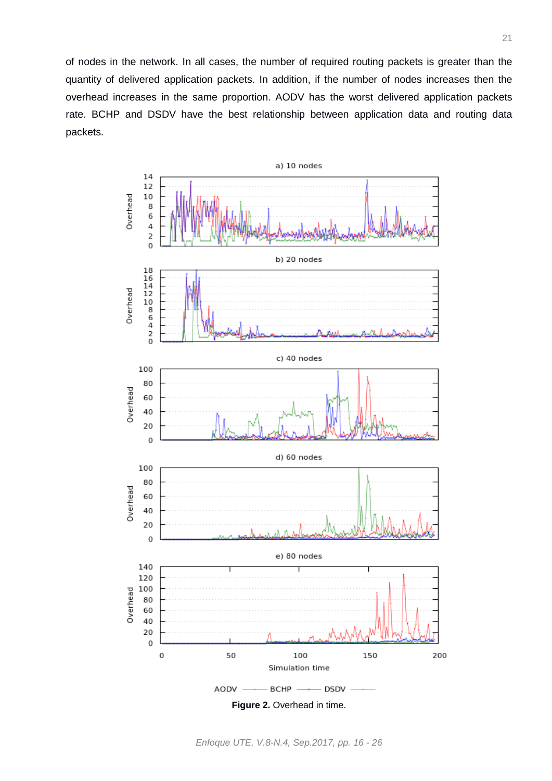of nodes in the network. In all cases, the number of required routing packets is greater than the quantity of delivered application packets. In addition, if the number of nodes increases then the overhead increases in the same proportion. AODV has the worst delivered application packets rate. BCHP and DSDV have the best relationship between application data and routing data packets.

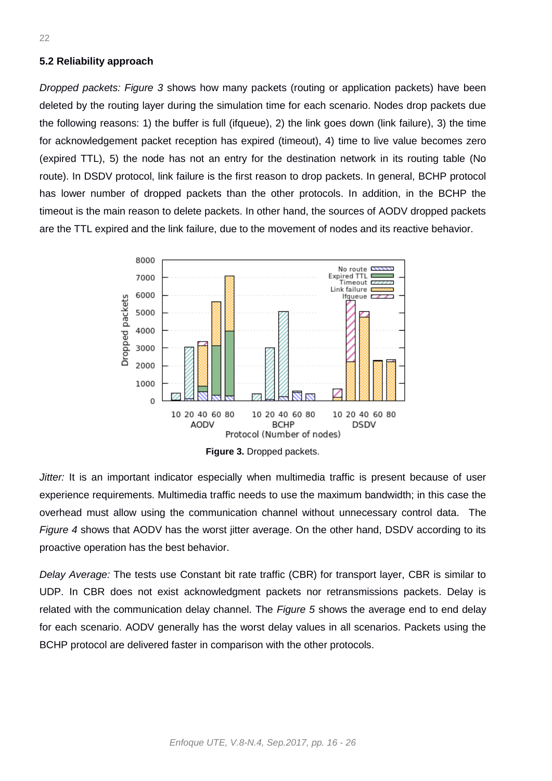#### **5.2 Reliability approach**

*Dropped packets: Figure 3* shows how many packets (routing or application packets) have been deleted by the routing layer during the simulation time for each scenario. Nodes drop packets due the following reasons: 1) the buffer is full (ifqueue), 2) the link goes down (link failure), 3) the time for acknowledgement packet reception has expired (timeout), 4) time to live value becomes zero (expired TTL), 5) the node has not an entry for the destination network in its routing table (No route). In DSDV protocol, link failure is the first reason to drop packets. In general, BCHP protocol has lower number of dropped packets than the other protocols. In addition, in the BCHP the timeout is the main reason to delete packets. In other hand, the sources of AODV dropped packets are the TTL expired and the link failure, due to the movement of nodes and its reactive behavior.



**Figure 3.** Dropped packets.

*Jitter:* It is an important indicator especially when multimedia traffic is present because of user experience requirements. Multimedia traffic needs to use the maximum bandwidth; in this case the overhead must allow using the communication channel without unnecessary control data. The *Figure 4* shows that AODV has the worst jitter average. On the other hand, DSDV according to its proactive operation has the best behavior.

*Delay Average:* The tests use Constant bit rate traffic (CBR) for transport layer, CBR is similar to UDP. In CBR does not exist acknowledgment packets nor retransmissions packets. Delay is related with the communication delay channel. The *Figure 5* shows the average end to end delay for each scenario. AODV generally has the worst delay values in all scenarios. Packets using the BCHP protocol are delivered faster in comparison with the other protocols.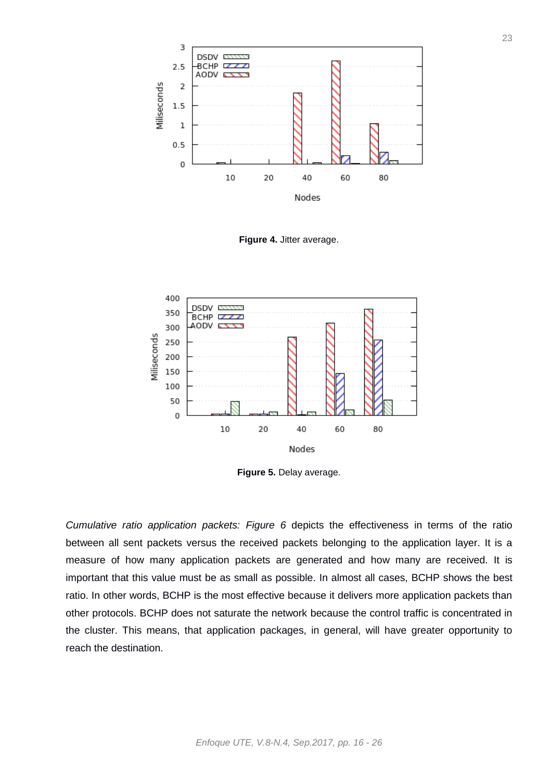

**Figure 4.** Jitter average.



**Figure 5.** Delay average.

*Cumulative ratio application packets: Figure 6* depicts the effectiveness in terms of the ratio between all sent packets versus the received packets belonging to the application layer. It is a measure of how many application packets are generated and how many are received. It is important that this value must be as small as possible. In almost all cases, BCHP shows the best ratio. In other words, BCHP is the most effective because it delivers more application packets than other protocols. BCHP does not saturate the network because the control traffic is concentrated in the cluster. This means, that application packages, in general, will have greater opportunity to reach the destination.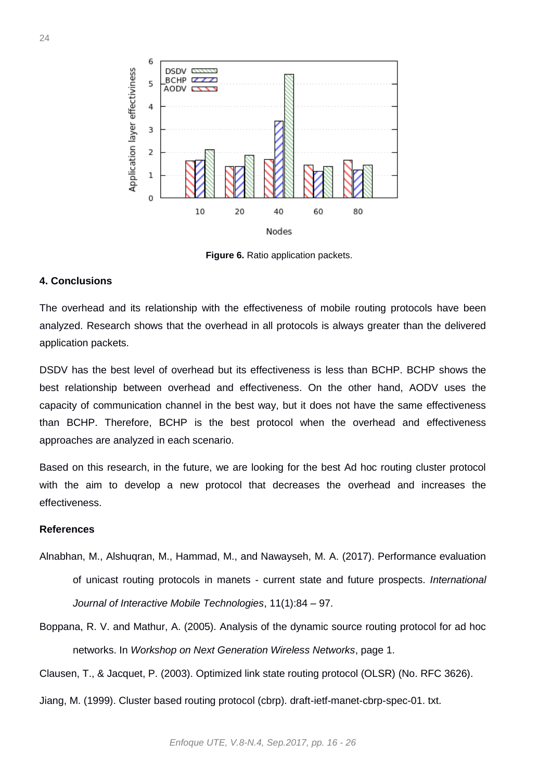

**Figure 6.** Ratio application packets.

# **4. Conclusions**

The overhead and its relationship with the effectiveness of mobile routing protocols have been analyzed. Research shows that the overhead in all protocols is always greater than the delivered application packets.

DSDV has the best level of overhead but its effectiveness is less than BCHP. BCHP shows the best relationship between overhead and effectiveness. On the other hand, AODV uses the capacity of communication channel in the best way, but it does not have the same effectiveness than BCHP. Therefore, BCHP is the best protocol when the overhead and effectiveness approaches are analyzed in each scenario.

Based on this research, in the future, we are looking for the best Ad hoc routing cluster protocol with the aim to develop a new protocol that decreases the overhead and increases the effectiveness.

### **References**

- Alnabhan, M., Alshuqran, M., Hammad, M., and Nawayseh, M. A. (2017). Performance evaluation of unicast routing protocols in manets - current state and future prospects. *International Journal of Interactive Mobile Technologies*, 11(1):84 – 97.
- Boppana, R. V. and Mathur, A. (2005). Analysis of the dynamic source routing protocol for ad hoc networks. In *Workshop on Next Generation Wireless Networks*, page 1.

Clausen, T., & Jacquet, P. (2003). Optimized link state routing protocol (OLSR) (No. RFC 3626).

Jiang, M. (1999). Cluster based routing protocol (cbrp). draft-ietf-manet-cbrp-spec-01. txt.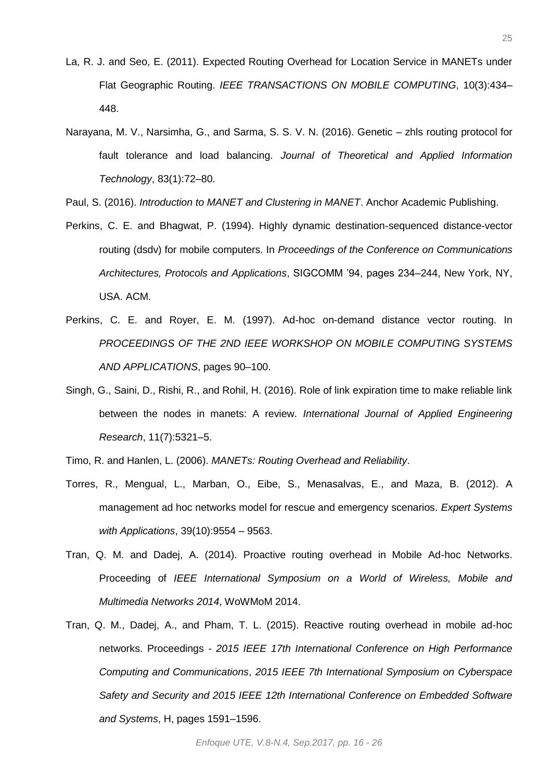- La, R. J. and Seo, E. (2011). Expected Routing Overhead for Location Service in MANETs under Flat Geographic Routing. *IEEE TRANSACTIONS ON MOBILE COMPUTING*, 10(3):434– 448.
- Narayana, M. V., Narsimha, G., and Sarma, S. S. V. N. (2016). Genetic zhls routing protocol for fault tolerance and load balancing. *Journal of Theoretical and Applied Information Technology*, 83(1):72–80.

Paul, S. (2016). *Introduction to MANET and Clustering in MANET*. Anchor Academic Publishing.

- Perkins, C. E. and Bhagwat, P. (1994). Highly dynamic destination-sequenced distance-vector routing (dsdv) for mobile computers. In *Proceedings of the Conference on Communications Architectures, Protocols and Applications*, SIGCOMM '94, pages 234–244, New York, NY, USA. ACM.
- Perkins, C. E. and Royer, E. M. (1997). Ad-hoc on-demand distance vector routing. In *PROCEEDINGS OF THE 2ND IEEE WORKSHOP ON MOBILE COMPUTING SYSTEMS AND APPLICATIONS*, pages 90–100.
- Singh, G., Saini, D., Rishi, R., and Rohil, H. (2016). Role of link expiration time to make reliable link between the nodes in manets: A review. *International Journal of Applied Engineering Research*, 11(7):5321–5.
- Timo, R. and Hanlen, L. (2006). *MANETs: Routing Overhead and Reliability*.
- Torres, R., Mengual, L., Marban, O., Eibe, S., Menasalvas, E., and Maza, B. (2012). A management ad hoc networks model for rescue and emergency scenarios. *Expert Systems with Applications*, 39(10):9554 – 9563.
- Tran, Q. M. and Dadej, A. (2014). Proactive routing overhead in Mobile Ad-hoc Networks. Proceeding of *IEEE International Symposium on a World of Wireless, Mobile and Multimedia Networks 2014*, WoWMoM 2014.
- Tran, Q. M., Dadej, A., and Pham, T. L. (2015). Reactive routing overhead in mobile ad-hoc networks. Proceedings - *2015 IEEE 17th International Conference on High Performance Computing and Communications*, *2015 IEEE 7th International Symposium on Cyberspace Safety and Security and 2015 IEEE 12th International Conference on Embedded Software and Systems*, H, pages 1591–1596.